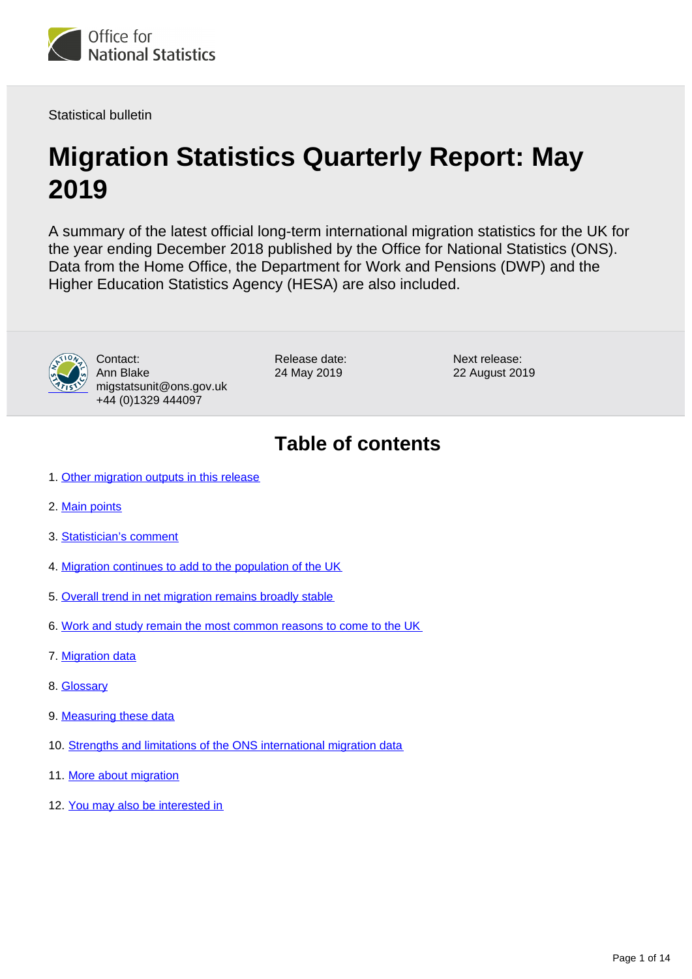<span id="page-0-0"></span>

Statistical bulletin

# **Migration Statistics Quarterly Report: May 2019**

A summary of the latest official long-term international migration statistics for the UK for the year ending December 2018 published by the Office for National Statistics (ONS). Data from the Home Office, the Department for Work and Pensions (DWP) and the Higher Education Statistics Agency (HESA) are also included.



Contact: Ann Blake migstatsunit@ons.gov.uk +44 (0)1329 444097

Release date: 24 May 2019

Next release: 22 August 2019

## **Table of contents**

- 1. [Other migration outputs in this release](#page-1-0)
- 2. [Main points](#page-1-1)
- 3. [Statistician's comment](#page-2-0)
- 4. [Migration continues to add to the population of the UK](#page-2-1)
- 5. [Overall trend in net migration remains broadly stable](#page-2-2)
- 6. [Work and study remain the most common reasons to come to the UK](#page-4-0)
- 7. [Migration data](#page-7-0)
- 8. [Glossary](#page-8-0)
- 9. [Measuring these data](#page-9-0)
- 10. [Strengths and limitations of the ONS international migration data](#page-10-0)
- 11. [More about migration](#page-12-0)
- 12. [You may also be interested in](#page-13-0)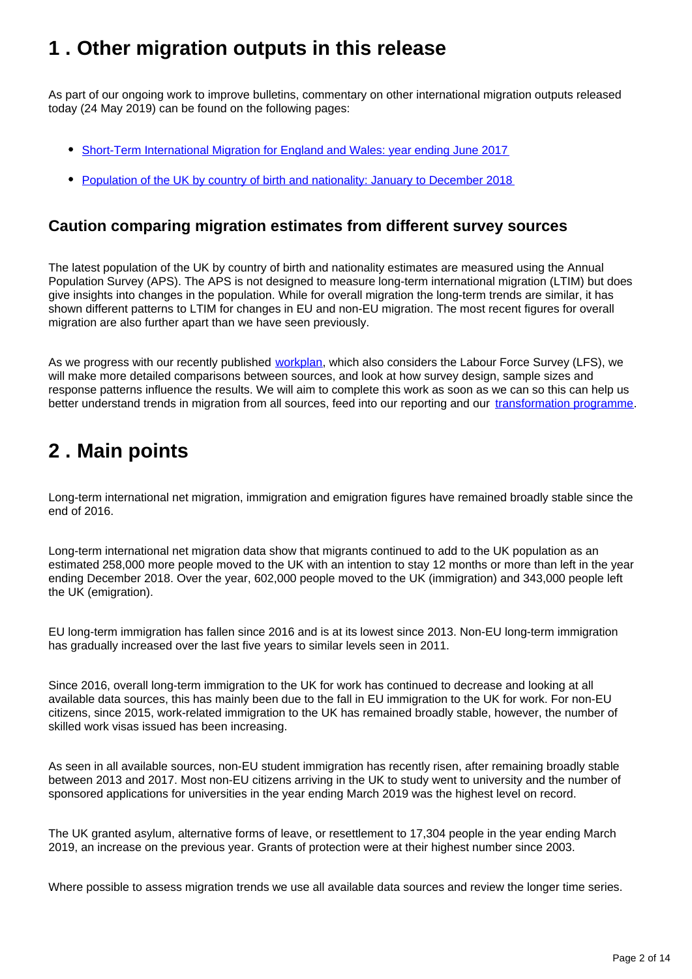## <span id="page-1-0"></span>**1 . Other migration outputs in this release**

As part of our ongoing work to improve bulletins, commentary on other international migration outputs released today (24 May 2019) can be found on the following pages:

- [Short-Term International Migration for England and Wales: year ending June 2017](https://www.ons.gov.uk/peoplepopulationandcommunity/populationandmigration/internationalmigration/bulletins/shortterminternationalmigrationannualreport/yearendingjune2017)
- [Population of the UK by country of birth and nationality: January to December 2018](https://www.ons.gov.uk/peoplepopulationandcommunity/populationandmigration/internationalmigration/bulletins/ukpopulationbycountryofbirthandnationality/2018)

### **Caution comparing migration estimates from different survey sources**

The latest population of the UK by country of birth and nationality estimates are measured using the Annual Population Survey (APS). The APS is not designed to measure long-term international migration (LTIM) but does give insights into changes in the population. While for overall migration the long-term trends are similar, it has shown different patterns to LTIM for changes in EU and non-EU migration. The most recent figures for overall migration are also further apart than we have seen previously.

As we progress with our recently published [workplan,](https://www.ons.gov.uk/peoplepopulationandcommunity/populationandmigration/internationalmigration/articles/understandingdifferentmigrationdatasourcesaworkplan/february2019) which also considers the Labour Force Survey (LFS), we will make more detailed comparisons between sources, and look at how survey design, sample sizes and response patterns influence the results. We will aim to complete this work as soon as we can so this can help us better understand trends in migration from all sources, feed into our reporting and our [transformation programme](https://www.ons.gov.uk/peoplepopulationandcommunity/populationandmigration/internationalmigration/articles/updateonourpopulationandmigrationstatisticstransformationjourneyaresearchengagementreport/2019-01-30).

## <span id="page-1-1"></span>**2 . Main points**

Long-term international net migration, immigration and emigration figures have remained broadly stable since the end of 2016.

Long-term international net migration data show that migrants continued to add to the UK population as an estimated 258,000 more people moved to the UK with an intention to stay 12 months or more than left in the year ending December 2018. Over the year, 602,000 people moved to the UK (immigration) and 343,000 people left the UK (emigration).

EU long-term immigration has fallen since 2016 and is at its lowest since 2013. Non-EU long-term immigration has gradually increased over the last five years to similar levels seen in 2011.

Since 2016, overall long-term immigration to the UK for work has continued to decrease and looking at all available data sources, this has mainly been due to the fall in EU immigration to the UK for work. For non-EU citizens, since 2015, work-related immigration to the UK has remained broadly stable, however, the number of skilled work visas issued has been increasing.

As seen in all available sources, non-EU student immigration has recently risen, after remaining broadly stable between 2013 and 2017. Most non-EU citizens arriving in the UK to study went to university and the number of sponsored applications for universities in the year ending March 2019 was the highest level on record.

The UK granted asylum, alternative forms of leave, or resettlement to 17,304 people in the year ending March 2019, an increase on the previous year. Grants of protection were at their highest number since 2003.

Where possible to assess migration trends we use all available data sources and review the longer time series.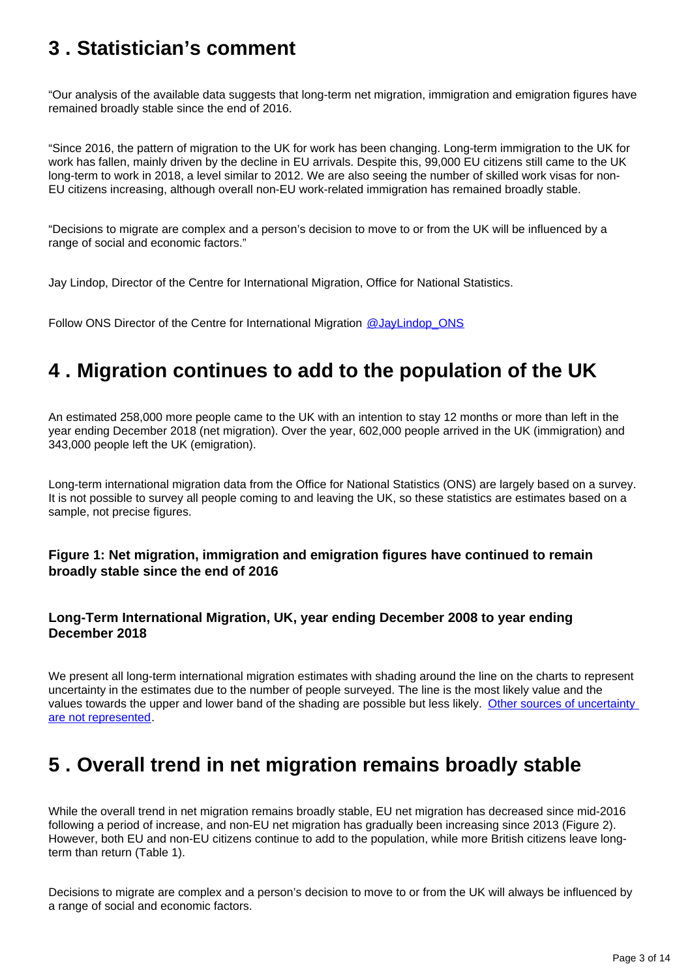## <span id="page-2-0"></span>**3 . Statistician's comment**

"Our analysis of the available data suggests that long-term net migration, immigration and emigration figures have remained broadly stable since the end of 2016.

"Since 2016, the pattern of migration to the UK for work has been changing. Long-term immigration to the UK for work has fallen, mainly driven by the decline in EU arrivals. Despite this, 99,000 EU citizens still came to the UK long-term to work in 2018, a level similar to 2012. We are also seeing the number of skilled work visas for non-EU citizens increasing, although overall non-EU work-related immigration has remained broadly stable.

"Decisions to migrate are complex and a person's decision to move to or from the UK will be influenced by a range of social and economic factors."

Jay Lindop, Director of the Centre for International Migration, Office for National Statistics.

Follow ONS Director of the Centre for International Migration [@JayLindop\\_ONS](https://twitter.com/JayLindop_ONS)

## <span id="page-2-1"></span>**4 . Migration continues to add to the population of the UK**

An estimated 258,000 more people came to the UK with an intention to stay 12 months or more than left in the year ending December 2018 (net migration). Over the year, 602,000 people arrived in the UK (immigration) and 343,000 people left the UK (emigration).

Long-term international migration data from the Office for National Statistics (ONS) are largely based on a survey. It is not possible to survey all people coming to and leaving the UK, so these statistics are estimates based on a sample, not precise figures.

#### **Figure 1: Net migration, immigration and emigration figures have continued to remain broadly stable since the end of 2016**

#### **Long-Term International Migration, UK, year ending December 2008 to year ending December 2018**

We present all long-term international migration estimates with shading around the line on the charts to represent uncertainty in the estimates due to the number of people surveyed. The line is the most likely value and the values towards the upper and lower band of the shading are possible but less likely. Other sources of uncertainty [are not represented](https://www.ons.gov.uk/peoplepopulationandcommunity/populationandmigration/internationalmigration/bulletins/migrationstatisticsquarterlyreport/november2018#strengths-and-limitations-of-ons-international-migration-data).

## <span id="page-2-2"></span>**5 . Overall trend in net migration remains broadly stable**

While the overall trend in net migration remains broadly stable, EU net migration has decreased since mid-2016 following a period of increase, and non-EU net migration has gradually been increasing since 2013 (Figure 2). However, both EU and non-EU citizens continue to add to the population, while more British citizens leave longterm than return (Table 1).

Decisions to migrate are complex and a person's decision to move to or from the UK will always be influenced by a range of social and economic factors.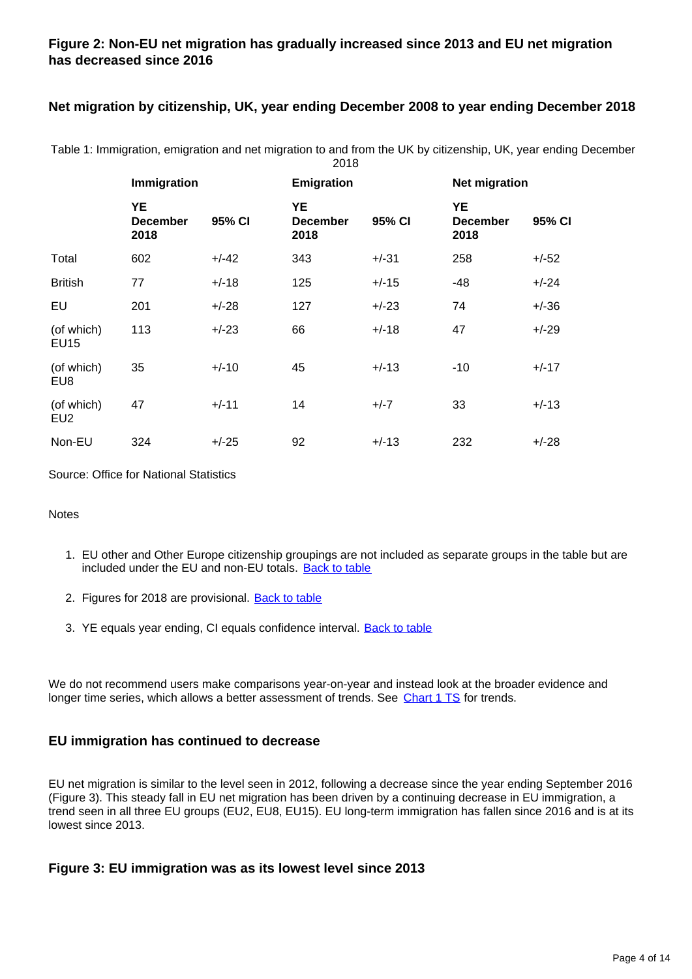#### **Figure 2: Non-EU net migration has gradually increased since 2013 and EU net migration has decreased since 2016**

#### **Net migration by citizenship, UK, year ending December 2008 to year ending December 2018**

|                           | Immigration                   |         | Emigration                           |         | <b>Net migration</b>                 |         |
|---------------------------|-------------------------------|---------|--------------------------------------|---------|--------------------------------------|---------|
|                           | YE<br><b>December</b><br>2018 | 95% CI  | <b>YE</b><br><b>December</b><br>2018 | 95% CI  | <b>YE</b><br><b>December</b><br>2018 | 95% CI  |
| Total                     | 602                           | $+/-42$ | 343                                  | $+/-31$ | 258                                  | $+/-52$ |
| <b>British</b>            | 77                            | $+/-18$ | 125                                  | $+/-15$ | -48                                  | $+/-24$ |
| EU                        | 201                           | $+/-28$ | 127                                  | $+/-23$ | 74                                   | $+/-36$ |
| (of which)<br><b>EU15</b> | 113                           | $+/-23$ | 66                                   | $+/-18$ | 47                                   | $+/-29$ |
| (of which)<br>EU8         | 35                            | $+/-10$ | 45                                   | $+/-13$ | $-10$                                | $+/-17$ |
| (of which)<br>EU2         | 47                            | $+/-11$ | 14                                   | $+/-7$  | 33                                   | $+/-13$ |
| Non-EU                    | 324                           | $+/-25$ | 92                                   | $+/-13$ | 232                                  | $+/-28$ |

Table 1: Immigration, emigration and net migration to and from the UK by citizenship, UK, year ending December 2018

Source: Office for National Statistics

#### Notes

- 1. EU other and Other Europe citizenship groupings are not included as separate groups in the table but are included under the EU and non-EU totals. [Back to table](#page-0-0)
- 2. Figures for 2018 are provisional. **[Back to table](#page-0-0)**
- 3. YE equals year ending, CI equals confidence interval. **[Back to table](#page-0-0)**

We do not recommend users make comparisons year-on-year and instead look at the broader evidence and longer time series, which allows a better assessment of trends. See [Chart 1 TS](https://www.ons.gov.uk/peoplepopulationandcommunity/populationandmigration/internationalmigration/datasets/migrationstatisticsquarterlyreportprovisionallongterminternationalmigrationltimestimates) for trends.

#### **EU immigration has continued to decrease**

EU net migration is similar to the level seen in 2012, following a decrease since the year ending September 2016 (Figure 3). This steady fall in EU net migration has been driven by a continuing decrease in EU immigration, a trend seen in all three EU groups (EU2, EU8, EU15). EU long-term immigration has fallen since 2016 and is at its lowest since 2013.

#### **Figure 3: EU immigration was as its lowest level since 2013**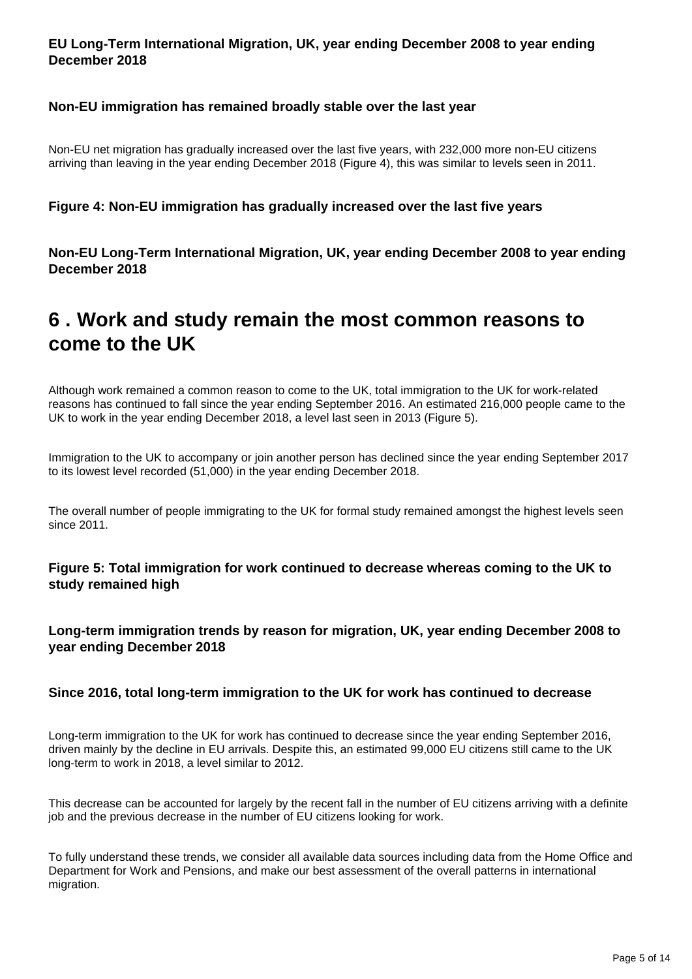#### **EU Long-Term International Migration, UK, year ending December 2008 to year ending December 2018**

#### **Non-EU immigration has remained broadly stable over the last year**

Non-EU net migration has gradually increased over the last five years, with 232,000 more non-EU citizens arriving than leaving in the year ending December 2018 (Figure 4), this was similar to levels seen in 2011.

#### **Figure 4: Non-EU immigration has gradually increased over the last five years**

**Non-EU Long-Term International Migration, UK, year ending December 2008 to year ending December 2018**

### <span id="page-4-0"></span>**6 . Work and study remain the most common reasons to come to the UK**

Although work remained a common reason to come to the UK, total immigration to the UK for work-related reasons has continued to fall since the year ending September 2016. An estimated 216,000 people came to the UK to work in the year ending December 2018, a level last seen in 2013 (Figure 5).

Immigration to the UK to accompany or join another person has declined since the year ending September 2017 to its lowest level recorded (51,000) in the year ending December 2018.

The overall number of people immigrating to the UK for formal study remained amongst the highest levels seen since 2011.

**Figure 5: Total immigration for work continued to decrease whereas coming to the UK to study remained high**

**Long-term immigration trends by reason for migration, UK, year ending December 2008 to year ending December 2018**

#### **Since 2016, total long-term immigration to the UK for work has continued to decrease**

Long-term immigration to the UK for work has continued to decrease since the year ending September 2016, driven mainly by the decline in EU arrivals. Despite this, an estimated 99,000 EU citizens still came to the UK long-term to work in 2018, a level similar to 2012.

This decrease can be accounted for largely by the recent fall in the number of EU citizens arriving with a definite job and the previous decrease in the number of EU citizens looking for work.

To fully understand these trends, we consider all available data sources including data from the Home Office and Department for Work and Pensions, and make our best assessment of the overall patterns in international migration.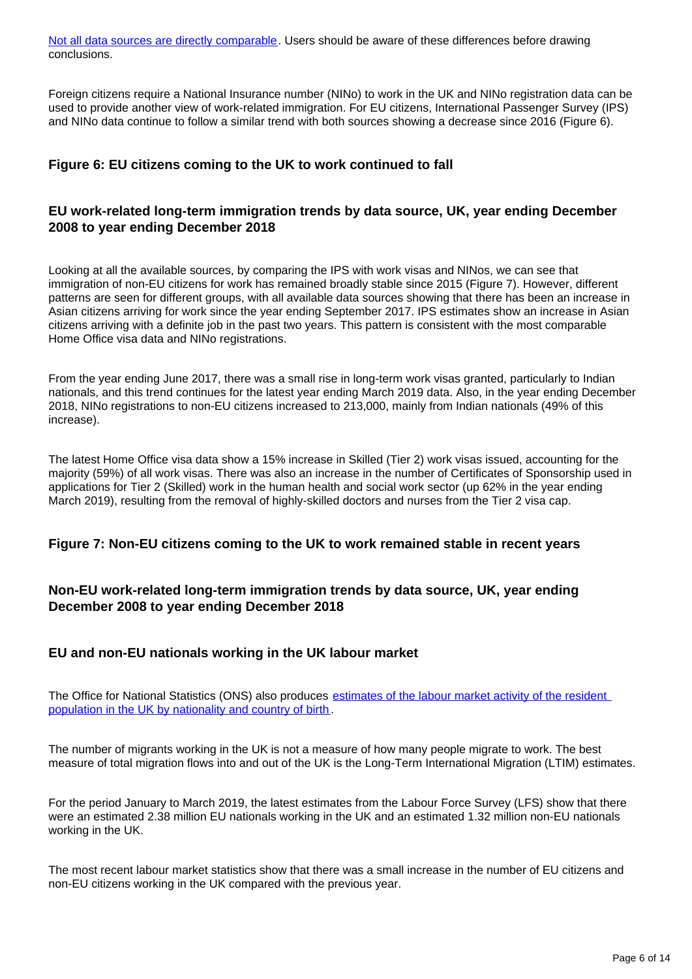[Not all data sources are directly comparable](https://www.ons.gov.uk/peoplepopulationandcommunity/populationandmigration/internationalmigration/articles/comparingsourcesofinternationalmigrationstatistics/december2016). Users should be aware of these differences before drawing conclusions.

Foreign citizens require a National Insurance number (NINo) to work in the UK and NINo registration data can be used to provide another view of work-related immigration. For EU citizens, International Passenger Survey (IPS) and NINo data continue to follow a similar trend with both sources showing a decrease since 2016 (Figure 6).

#### **Figure 6: EU citizens coming to the UK to work continued to fall**

#### **EU work-related long-term immigration trends by data source, UK, year ending December 2008 to year ending December 2018**

Looking at all the available sources, by comparing the IPS with work visas and NINos, we can see that immigration of non-EU citizens for work has remained broadly stable since 2015 (Figure 7). However, different patterns are seen for different groups, with all available data sources showing that there has been an increase in Asian citizens arriving for work since the year ending September 2017. IPS estimates show an increase in Asian citizens arriving with a definite job in the past two years. This pattern is consistent with the most comparable Home Office visa data and NINo registrations.

From the year ending June 2017, there was a small rise in long-term work visas granted, particularly to Indian nationals, and this trend continues for the latest year ending March 2019 data. Also, in the year ending December 2018, NINo registrations to non-EU citizens increased to 213,000, mainly from Indian nationals (49% of this increase).

The latest Home Office visa data show a 15% increase in Skilled (Tier 2) work visas issued, accounting for the majority (59%) of all work visas. There was also an increase in the number of Certificates of Sponsorship used in applications for Tier 2 (Skilled) work in the human health and social work sector (up 62% in the year ending March 2019), resulting from the removal of highly-skilled doctors and nurses from the Tier 2 visa cap.

#### **Figure 7: Non-EU citizens coming to the UK to work remained stable in recent years**

#### **Non-EU work-related long-term immigration trends by data source, UK, year ending December 2008 to year ending December 2018**

#### **EU and non-EU nationals working in the UK labour market**

The Office for National Statistics (ONS) also produces [estimates of the labour market activity of the resident](https://www.ons.gov.uk/employmentandlabourmarket/peopleinwork/employmentandemployeetypes/articles/ukandnonukpeopleinthelabourmarket/latest)  [population in the UK by nationality and country of birth.](https://www.ons.gov.uk/employmentandlabourmarket/peopleinwork/employmentandemployeetypes/articles/ukandnonukpeopleinthelabourmarket/latest)

The number of migrants working in the UK is not a measure of how many people migrate to work. The best measure of total migration flows into and out of the UK is the Long-Term International Migration (LTIM) estimates.

For the period January to March 2019, the latest estimates from the Labour Force Survey (LFS) show that there were an estimated 2.38 million EU nationals working in the UK and an estimated 1.32 million non-EU nationals working in the UK.

The most recent labour market statistics show that there was a small increase in the number of EU citizens and non-EU citizens working in the UK compared with the previous year.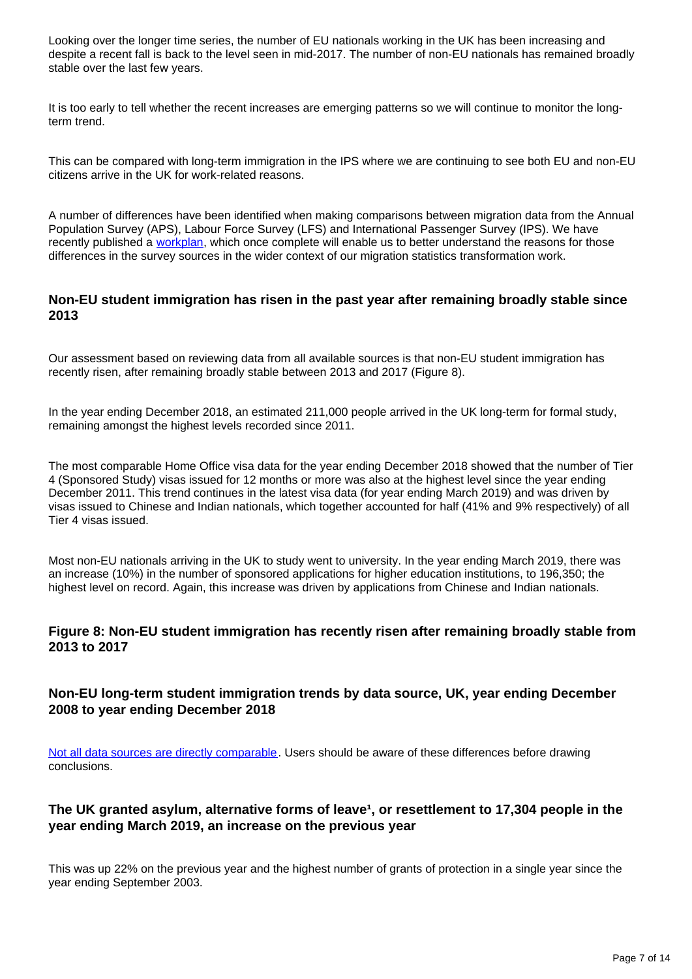Looking over the longer time series, the number of EU nationals working in the UK has been increasing and despite a recent fall is back to the level seen in mid-2017. The number of non-EU nationals has remained broadly stable over the last few years.

It is too early to tell whether the recent increases are emerging patterns so we will continue to monitor the longterm trend.

This can be compared with long-term immigration in the IPS where we are continuing to see both EU and non-EU citizens arrive in the UK for work-related reasons.

A number of differences have been identified when making comparisons between migration data from the Annual Population Survey (APS), Labour Force Survey (LFS) and International Passenger Survey (IPS). We have recently published a [workplan](https://www.ons.gov.uk/peoplepopulationandcommunity/populationandmigration/internationalmigration/articles/understandingdifferentmigrationdatasourcesaworkplan/february2019), which once complete will enable us to better understand the reasons for those differences in the survey sources in the wider context of our migration statistics transformation work.

#### **Non-EU student immigration has risen in the past year after remaining broadly stable since 2013**

Our assessment based on reviewing data from all available sources is that non-EU student immigration has recently risen, after remaining broadly stable between 2013 and 2017 (Figure 8).

In the year ending December 2018, an estimated 211,000 people arrived in the UK long-term for formal study, remaining amongst the highest levels recorded since 2011.

The most comparable Home Office visa data for the year ending December 2018 showed that the number of Tier 4 (Sponsored Study) visas issued for 12 months or more was also at the highest level since the year ending December 2011. This trend continues in the latest visa data (for year ending March 2019) and was driven by visas issued to Chinese and Indian nationals, which together accounted for half (41% and 9% respectively) of all Tier 4 visas issued.

Most non-EU nationals arriving in the UK to study went to university. In the year ending March 2019, there was an increase (10%) in the number of sponsored applications for higher education institutions, to 196,350; the highest level on record. Again, this increase was driven by applications from Chinese and Indian nationals.

#### **Figure 8: Non-EU student immigration has recently risen after remaining broadly stable from 2013 to 2017**

#### **Non-EU long-term student immigration trends by data source, UK, year ending December 2008 to year ending December 2018**

[Not all data sources are directly comparable](https://www.ons.gov.uk/peoplepopulationandcommunity/populationandmigration/internationalmigration/articles/comparingsourcesofinternationalmigrationstatistics/december2016). Users should be aware of these differences before drawing conclusions.

#### The UK granted asylum, alternative forms of leave<sup>1</sup>, or resettlement to 17,304 people in the **year ending March 2019, an increase on the previous year**

This was up 22% on the previous year and the highest number of grants of protection in a single year since the year ending September 2003.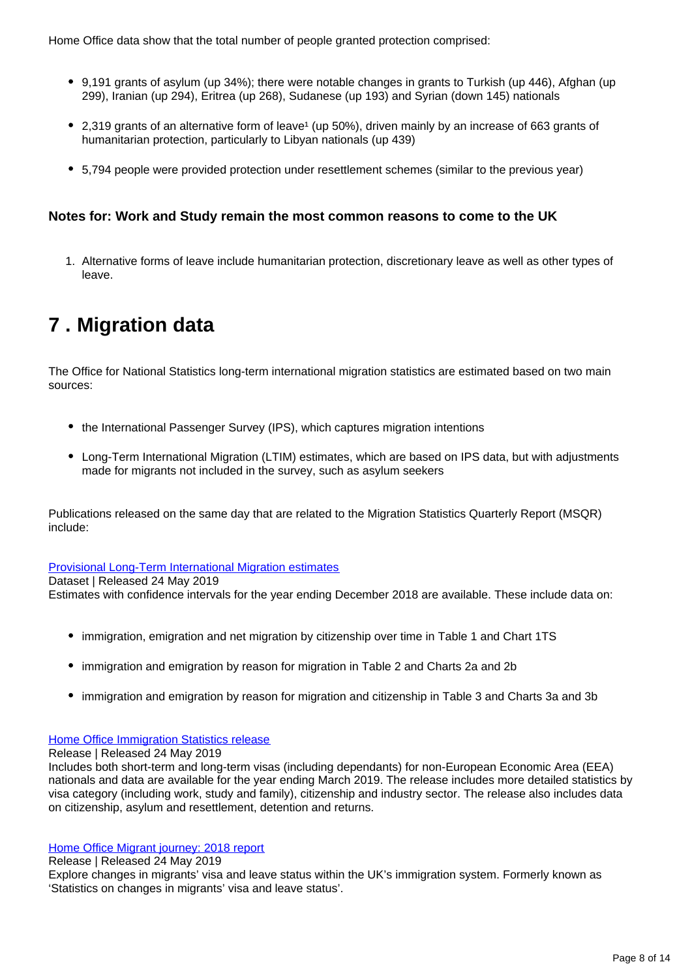Home Office data show that the total number of people granted protection comprised:

- 9,191 grants of asylum (up 34%); there were notable changes in grants to Turkish (up 446), Afghan (up 299), Iranian (up 294), Eritrea (up 268), Sudanese (up 193) and Syrian (down 145) nationals
- 2,319 grants of an alternative form of leave<sup>1</sup> (up 50%), driven mainly by an increase of 663 grants of humanitarian protection, particularly to Libyan nationals (up 439)
- 5,794 people were provided protection under resettlement schemes (similar to the previous year)

#### **Notes for: Work and Study remain the most common reasons to come to the UK**

1. Alternative forms of leave include humanitarian protection, discretionary leave as well as other types of leave.

## <span id="page-7-0"></span>**7 . Migration data**

The Office for National Statistics long-term international migration statistics are estimated based on two main sources:

- the International Passenger Survey (IPS), which captures migration intentions
- Long-Term International Migration (LTIM) estimates, which are based on IPS data, but with adjustments made for migrants not included in the survey, such as asylum seekers

Publications released on the same day that are related to the Migration Statistics Quarterly Report (MSQR) include:

[Provisional Long-Term International Migration estimates](https://www.ons.gov.uk/peoplepopulationandcommunity/populationandmigration/internationalmigration/datasets/migrationstatisticsquarterlyreportprovisionallongterminternationalmigrationltimestimates)

Dataset | Released 24 May 2019

Estimates with confidence intervals for the year ending December 2018 are available. These include data on:

- immigration, emigration and net migration by citizenship over time in Table 1 and Chart 1TS
- immigration and emigration by reason for migration in Table 2 and Charts 2a and 2b
- immigration and emigration by reason for migration and citizenship in Table 3 and Charts 3a and 3b

#### [Home Office Immigration Statistics release](https://www.gov.uk/government/statistics/immigration-statistics-year-ending-march-2019)

Release | Released 24 May 2019

Includes both short-term and long-term visas (including dependants) for non-European Economic Area (EEA) nationals and data are available for the year ending March 2019. The release includes more detailed statistics by visa category (including work, study and family), citizenship and industry sector. The release also includes data on citizenship, asylum and resettlement, detention and returns.

#### [Home Office Migrant journey: 2018 report](https://www.gov.uk/government/statistics/migrant-journey-2018-report)

Release | Released 24 May 2019

Explore changes in migrants' visa and leave status within the UK's immigration system. Formerly known as 'Statistics on changes in migrants' visa and leave status'.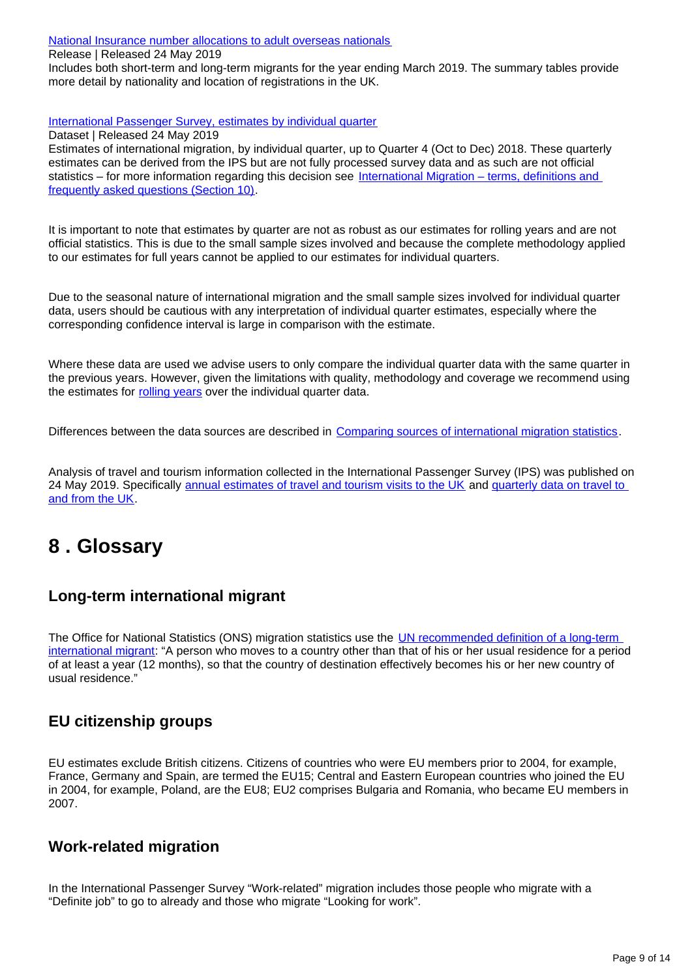[National Insurance number allocations to adult overseas nationals](https://www.gov.uk/government/collections/national-insurance-number-allocations-to-adult-overseas-nationals-entering-the-uk)

Release | Released 24 May 2019

Includes both short-term and long-term migrants for the year ending March 2019. The summary tables provide more detail by nationality and location of registrations in the UK.

[International Passenger Survey, estimates by individual quarter](https://www.ons.gov.uk/peoplepopulationandcommunity/populationandmigration/internationalmigration/datasets/estimatesoflongterminternationalmigrationbyquarterderivedfromtheinternationalpassengersurvey)

Dataset | Released 24 May 2019

Estimates of international migration, by individual quarter, up to Quarter 4 (Oct to Dec) 2018. These quarterly estimates can be derived from the IPS but are not fully processed survey data and as such are not official statistics – for more information regarding this decision see [International Migration – terms, definitions and](https://www.ons.gov.uk/peoplepopulationandcommunity/populationandmigration/internationalmigration/methodologies/longterminternationalmigrationfrequentlyaskedquestionsandbackgroundnotes)  [frequently asked questions \(Section 10\)](https://www.ons.gov.uk/peoplepopulationandcommunity/populationandmigration/internationalmigration/methodologies/longterminternationalmigrationfrequentlyaskedquestionsandbackgroundnotes).

It is important to note that estimates by quarter are not as robust as our estimates for rolling years and are not official statistics. This is due to the small sample sizes involved and because the complete methodology applied to our estimates for full years cannot be applied to our estimates for individual quarters.

Due to the seasonal nature of international migration and the small sample sizes involved for individual quarter data, users should be cautious with any interpretation of individual quarter estimates, especially where the corresponding confidence interval is large in comparison with the estimate.

Where these data are used we advise users to only compare the individual quarter data with the same quarter in the previous years. However, given the limitations with quality, methodology and coverage we recommend using the estimates for [rolling years](https://www.ons.gov.uk/peoplepopulationandcommunity/populationandmigration/internationalmigration/datasets/migrationstatisticsquarterlyreportprovisionallongterminternationalmigrationltimestimates) over the individual quarter data.

Differences between the data sources are described in [Comparing sources of international migration statistics](https://www.ons.gov.uk/peoplepopulationandcommunity/populationandmigration/internationalmigration/articles/comparingsourcesofinternationalmigrationstatistics/december2016).

Analysis of travel and tourism information collected in the International Passenger Survey (IPS) was published on 24 May 2019. Specifically [annual estimates of travel and tourism visits to the UK](https://www.ons.gov.uk/peoplepopulationandcommunity/leisureandtourism/articles/traveltrends/2018) and quarterly data on travel to [and from the UK.](https://www.ons.gov.uk/peoplepopulationandcommunity/leisureandtourism/datasets/travelpac)

## <span id="page-8-0"></span>**8 . Glossary**

### **Long-term international migrant**

The Office for National Statistics (ONS) migration statistics use the **UN recommended definition of a long-term** [international migrant](http://data.un.org/Glossary.aspx?q=long-term+migrant): "A person who moves to a country other than that of his or her usual residence for a period of at least a year (12 months), so that the country of destination effectively becomes his or her new country of usual residence."

### **EU citizenship groups**

EU estimates exclude British citizens. Citizens of countries who were EU members prior to 2004, for example, France, Germany and Spain, are termed the EU15; Central and Eastern European countries who joined the EU in 2004, for example, Poland, are the EU8; EU2 comprises Bulgaria and Romania, who became EU members in 2007.

### **Work-related migration**

In the International Passenger Survey "Work-related" migration includes those people who migrate with a "Definite job" to go to already and those who migrate "Looking for work".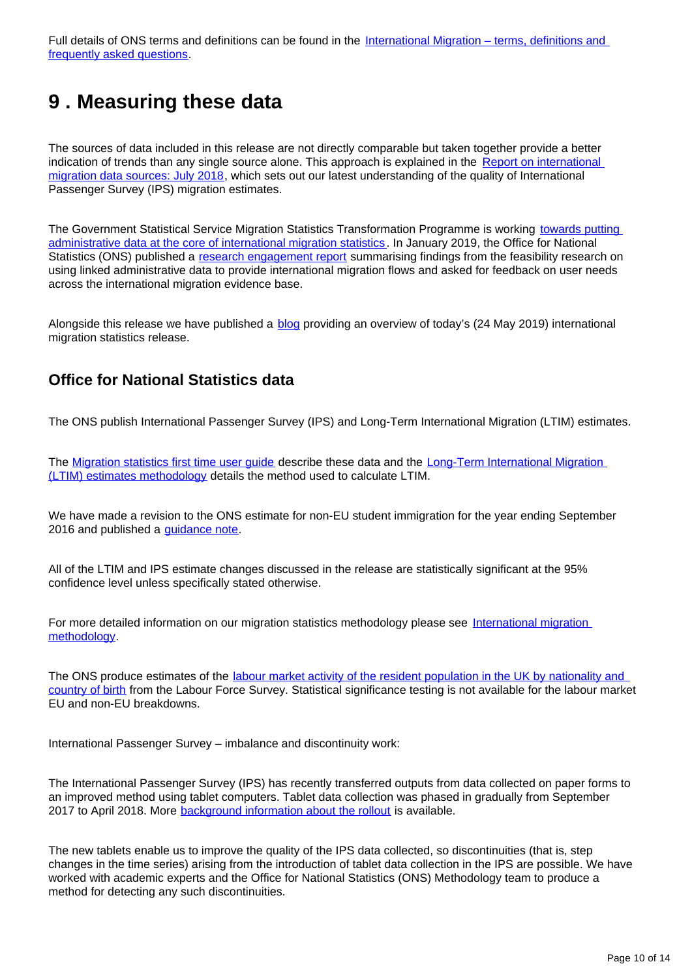Full details of ONS terms and definitions can be found in the International Migration – terms, definitions and [frequently asked questions](https://www.ons.gov.uk/peoplepopulationandcommunity/populationandmigration/internationalmigration/methodologies/longterminternationalmigrationfrequentlyaskedquestionsandbackgroundnotes).

## <span id="page-9-0"></span>**9 . Measuring these data**

The sources of data included in this release are not directly comparable but taken together provide a better indication of trends than any single source alone. This approach is explained in the [Report on international](https://www.ons.gov.uk/peoplepopulationandcommunity/populationandmigration/internationalmigration/articles/reportonthecomplexityandqualityofinternationalmigrationstatistics/july2018)  [migration data sources: July 2018](https://www.ons.gov.uk/peoplepopulationandcommunity/populationandmigration/internationalmigration/articles/reportonthecomplexityandqualityofinternationalmigrationstatistics/july2018), which sets out our latest understanding of the quality of International Passenger Survey (IPS) migration estimates.

The Government Statistical Service Migration Statistics Transformation Programme is working [towards putting](https://www.ons.gov.uk/peoplepopulationandcommunity/populationandmigration/internationalmigration/articles/migrationstatisticstransformationupdate/2018-05-24)  [administrative data at the core of international migration statistics.](https://www.ons.gov.uk/peoplepopulationandcommunity/populationandmigration/internationalmigration/articles/migrationstatisticstransformationupdate/2018-05-24) In January 2019, the Office for National Statistics (ONS) published a [research engagement report](https://www.ons.gov.uk/peoplepopulationandcommunity/populationandmigration/internationalmigration/articles/updateonourpopulationandmigrationstatisticstransformationjourneyaresearchengagementreport/2019-01-30) summarising findings from the feasibility research on using linked administrative data to provide international migration flows and asked for feedback on user needs across the international migration evidence base.

Alongside this release we have published a **[blog](https://blog.ons.gov.uk/2019/05/24/understanding-the-latest-migration-trends/)** providing an overview of today's (24 May 2019) international migration statistics release.

### **Office for National Statistics data**

The ONS publish International Passenger Survey (IPS) and Long-Term International Migration (LTIM) estimates.

The Migration statistics first time user quide describe these data and the Long-Term International Migration [\(LTIM\) estimates methodology](https://www.ons.gov.uk/peoplepopulationandcommunity/populationandmigration/internationalmigration/methodologies/longterminternationalmigrationestimatesmethodology) details the method used to calculate LTIM.

We have made a revision to the ONS estimate for non-EU student immigration for the year ending September 2016 and published a [guidance note](https://www.ons.gov.uk/peoplepopulationandcommunity/populationandmigration/internationalmigration/methodologies/guidancenoteforrevisingofficiallongtermnoneustudentmigrationestimatesyearendingseptember2016).

All of the LTIM and IPS estimate changes discussed in the release are statistically significant at the 95% confidence level unless specifically stated otherwise.

For more detailed information on our migration statistics methodology please see [International migration](https://www.ons.gov.uk/peoplepopulationandcommunity/populationandmigration/internationalmigration/methodologies/internationalmigrationmethodology)  [methodology.](https://www.ons.gov.uk/peoplepopulationandcommunity/populationandmigration/internationalmigration/methodologies/internationalmigrationmethodology)

The ONS produce estimates of the [labour market activity of the resident population in the UK by nationality and](https://www.ons.gov.uk/employmentandlabourmarket/peopleinwork/employmentandemployeetypes/articles/ukandnonukpeopleinthelabourmarket/latest)  [country of birth](https://www.ons.gov.uk/employmentandlabourmarket/peopleinwork/employmentandemployeetypes/articles/ukandnonukpeopleinthelabourmarket/latest) from the Labour Force Survey. Statistical significance testing is not available for the labour market EU and non-EU breakdowns.

International Passenger Survey – imbalance and discontinuity work:

The International Passenger Survey (IPS) has recently transferred outputs from data collected on paper forms to an improved method using tablet computers. Tablet data collection was phased in gradually from September 2017 to April 2018. More [background information about the rollout](https://www.ons.gov.uk/peoplepopulationandcommunity/leisureandtourism/articles/traveltrends2017recentdatacollectionchangesandplannedmethodologicalchanges/2018-07-20) is available.

The new tablets enable us to improve the quality of the IPS data collected, so discontinuities (that is, step changes in the time series) arising from the introduction of tablet data collection in the IPS are possible. We have worked with academic experts and the Office for National Statistics (ONS) Methodology team to produce a method for detecting any such discontinuities.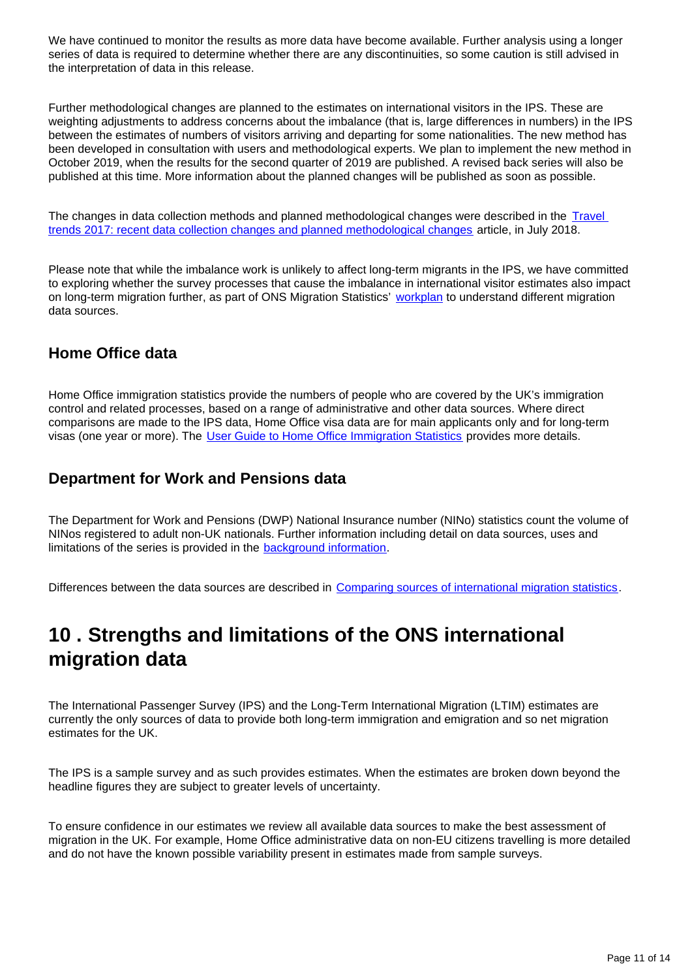We have continued to monitor the results as more data have become available. Further analysis using a longer series of data is required to determine whether there are any discontinuities, so some caution is still advised in the interpretation of data in this release.

Further methodological changes are planned to the estimates on international visitors in the IPS. These are weighting adjustments to address concerns about the imbalance (that is, large differences in numbers) in the IPS between the estimates of numbers of visitors arriving and departing for some nationalities. The new method has been developed in consultation with users and methodological experts. We plan to implement the new method in October 2019, when the results for the second quarter of 2019 are published. A revised back series will also be published at this time. More information about the planned changes will be published as soon as possible.

The changes in data collection methods and planned methodological changes were described in the [Travel](https://www.ons.gov.uk/peoplepopulationandcommunity/leisureandtourism/articles/traveltrends2017recentdatacollectionchangesandplannedmethodologicalchanges/2018-07-20)  [trends 2017: recent data collection changes and planned methodological changes](https://www.ons.gov.uk/peoplepopulationandcommunity/leisureandtourism/articles/traveltrends2017recentdatacollectionchangesandplannedmethodologicalchanges/2018-07-20) article, in July 2018.

Please note that while the imbalance work is unlikely to affect long-term migrants in the IPS, we have committed to exploring whether the survey processes that cause the imbalance in international visitor estimates also impact on long-term migration further, as part of ONS Migration Statistics' [workplan](https://www.ons.gov.uk/peoplepopulationandcommunity/populationandmigration/internationalmigration/articles/understandingdifferentmigrationdatasourcesaworkplan/february2019) to understand different migration data sources.

### **Home Office data**

Home Office immigration statistics provide the numbers of people who are covered by the UK's immigration control and related processes, based on a range of administrative and other data sources. Where direct comparisons are made to the IPS data, Home Office visa data are for main applicants only and for long-term visas (one year or more). The [User Guide to Home Office Immigration Statistics](https://www.gov.uk/government/publications/user-guide-to-home-office-immigration-statistics--9) provides more details.

### **Department for Work and Pensions data**

The Department for Work and Pensions (DWP) National Insurance number (NINo) statistics count the volume of NINos registered to adult non-UK nationals. Further information including detail on data sources, uses and limitations of the series is provided in the **background information**.

Differences between the data sources are described in [Comparing sources of international migration statistics](https://www.ons.gov.uk/peoplepopulationandcommunity/populationandmigration/internationalmigration/articles/comparingsourcesofinternationalmigrationstatistics/december2016).

## <span id="page-10-0"></span>**10 . Strengths and limitations of the ONS international migration data**

The International Passenger Survey (IPS) and the Long-Term International Migration (LTIM) estimates are currently the only sources of data to provide both long-term immigration and emigration and so net migration estimates for the UK.

The IPS is a sample survey and as such provides estimates. When the estimates are broken down beyond the headline figures they are subject to greater levels of uncertainty.

To ensure confidence in our estimates we review all available data sources to make the best assessment of migration in the UK. For example, Home Office administrative data on non-EU citizens travelling is more detailed and do not have the known possible variability present in estimates made from sample surveys.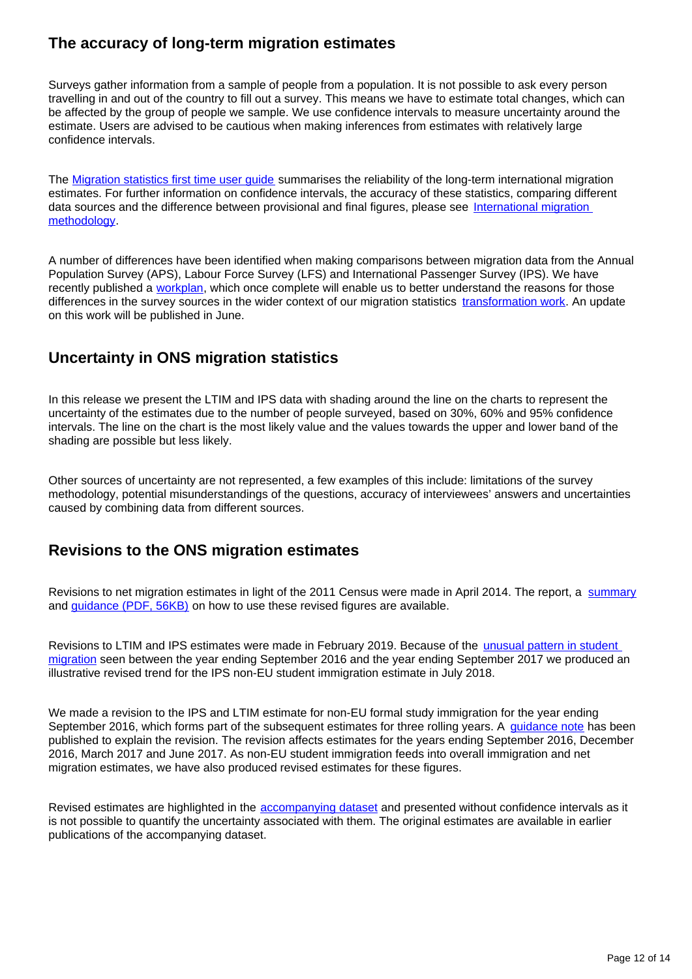### **The accuracy of long-term migration estimates**

Surveys gather information from a sample of people from a population. It is not possible to ask every person travelling in and out of the country to fill out a survey. This means we have to estimate total changes, which can be affected by the group of people we sample. We use confidence intervals to measure uncertainty around the estimate. Users are advised to be cautious when making inferences from estimates with relatively large confidence intervals.

The [Migration statistics first time user guide](https://www.ons.gov.uk/peoplepopulationandcommunity/populationandmigration/internationalmigration/methodologies/migrationstatisticsfirsttimeuserguideglossaryandlistofproducts) summarises the reliability of the long-term international migration estimates. For further information on confidence intervals, the accuracy of these statistics, comparing different data sources and the difference between provisional and final figures, please see International migration [methodology.](https://www.ons.gov.uk/peoplepopulationandcommunity/populationandmigration/internationalmigration/methodologies/internationalmigrationmethodology)

A number of differences have been identified when making comparisons between migration data from the Annual Population Survey (APS), Labour Force Survey (LFS) and International Passenger Survey (IPS). We have recently published a [workplan](https://www.ons.gov.uk/peoplepopulationandcommunity/populationandmigration/internationalmigration/articles/understandingdifferentmigrationdatasourcesaworkplan/february2019), which once complete will enable us to better understand the reasons for those differences in the survey sources in the wider context of our migration statistics [transformation work.](https://www.ons.gov.uk/peoplepopulationandcommunity/populationandmigration/internationalmigration/articles/updateonourpopulationandmigrationstatisticstransformationjourneyaresearchengagementreport/2019-01-30) An update on this work will be published in June.

### **Uncertainty in ONS migration statistics**

In this release we present the LTIM and IPS data with shading around the line on the charts to represent the uncertainty of the estimates due to the number of people surveyed, based on 30%, 60% and 95% confidence intervals. The line on the chart is the most likely value and the values towards the upper and lower band of the shading are possible but less likely.

Other sources of uncertainty are not represented, a few examples of this include: limitations of the survey methodology, potential misunderstandings of the questions, accuracy of interviewees' answers and uncertainties caused by combining data from different sources.

### **Revisions to the ONS migration estimates**

Revisions to net migration estimates in light of the 2011 Census were made in April 2014. The report, a [summary](http://webarchive.nationalarchives.gov.uk/20160106010424/http:/www.ons.gov.uk/ons/rel/migration1/long-term-international-migration/quality-of-long-term-international-migration-estimates-from-2001-to-2011/index.html) and *guidance* (PDF, 56KB) on how to use these revised figures are available.

Revisions to LTIM and IPS estimates were made in February 2019. Because of the [unusual pattern in student](https://www.ons.gov.uk/peoplepopulationandcommunity/populationandmigration/internationalmigration/bulletins/migrationstatisticsquarterlyreport/july2018revisedfrommaycoveringtheperiodtodecember2017)  [migration](https://www.ons.gov.uk/peoplepopulationandcommunity/populationandmigration/internationalmigration/bulletins/migrationstatisticsquarterlyreport/july2018revisedfrommaycoveringtheperiodtodecember2017) seen between the year ending September 2016 and the year ending September 2017 we produced an illustrative revised trend for the IPS non-EU student immigration estimate in July 2018.

We made a revision to the IPS and LTIM estimate for non-EU formal study immigration for the year ending September 2016, which forms part of the subsequent estimates for three rolling years. A [guidance note](https://www.ons.gov.uk/peoplepopulationandcommunity/populationandmigration/internationalmigration/methodologies/guidancenoteforrevisingofficiallongtermnoneustudentmigrationestimatesyearendingseptember2016) has been published to explain the revision. The revision affects estimates for the years ending September 2016, December 2016, March 2017 and June 2017. As non-EU student immigration feeds into overall immigration and net migration estimates, we have also produced revised estimates for these figures.

Revised estimates are highlighted in the [accompanying dataset](https://www.ons.gov.uk/peoplepopulationandcommunity/populationandmigration/internationalmigration/datasets/migrationstatisticsquarterlyreportprovisionallongterminternationalmigrationltimestimates) and presented without confidence intervals as it is not possible to quantify the uncertainty associated with them. The original estimates are available in earlier publications of the accompanying dataset.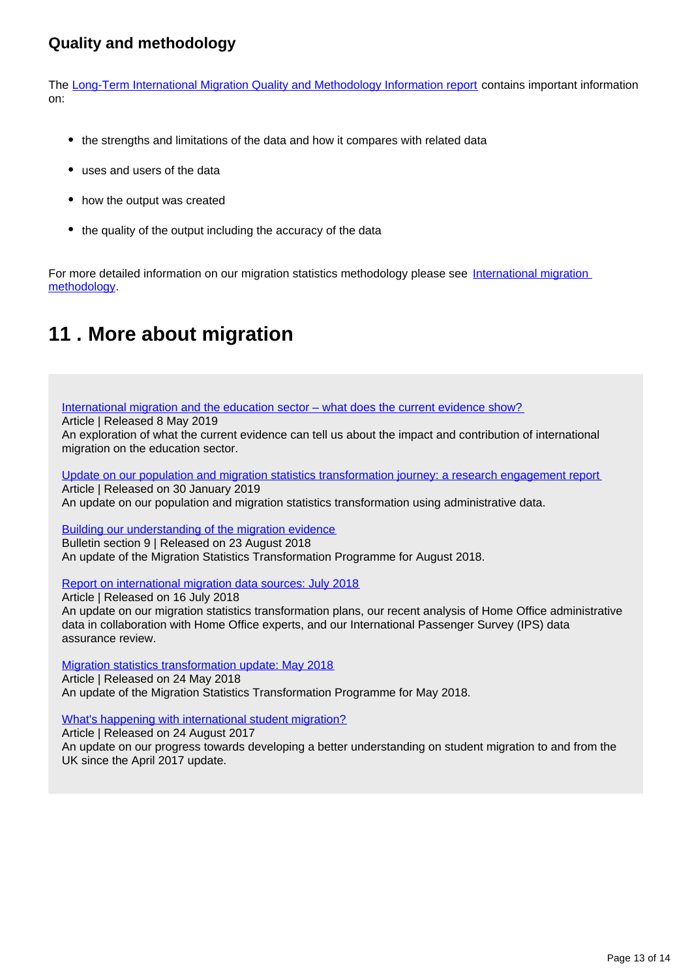### **Quality and methodology**

The [Long-Term International Migration Quality and Methodology Information report](https://www.ons.gov.uk/peoplepopulationandcommunity/populationandmigration/populationestimates/qmis/longtermmigrationindicatorssuiteqmi) contains important information on:

- the strengths and limitations of the data and how it compares with related data
- uses and users of the data
- how the output was created
- the quality of the output including the accuracy of the data

For more detailed information on our migration statistics methodology please see International migration [methodology.](https://www.ons.gov.uk/peoplepopulationandcommunity/populationandmigration/internationalmigration/methodologies/internationalmigrationmethodology)

## <span id="page-12-0"></span>**11 . More about migration**

[International migration and the education sector – what does the current evidence show?](https://www.ons.gov.uk/peoplepopulationandcommunity/populationandmigration/internationalmigration/articles/internationalmigrationandtheeducationsectorwhatdoesthecurrentevidenceshow/2019-05-03)

Article | Released 8 May 2019

An exploration of what the current evidence can tell us about the impact and contribution of international migration on the education sector.

[Update on our population and migration statistics transformation journey: a research engagement report](https://www.ons.gov.uk/peoplepopulationandcommunity/populationandmigration/internationalmigration/articles/updateonourpopulationandmigrationstatisticstransformationjourneyaresearchengagementreport/2019-01-30) Article | Released on 30 January 2019 An update on our population and migration statistics transformation using administrative data.

[Building our understanding of the migration evidence](https://www.ons.gov.uk/peoplepopulationandcommunity/populationandmigration/internationalmigration/bulletins/migrationstatisticsquarterlyreport/august2018#building-our-understanding-of-the-migration-evidence) Bulletin section 9 | Released on 23 August 2018 An update of the Migration Statistics Transformation Programme for August 2018.

[Report on international migration data sources: July 2018](https://www.ons.gov.uk/peoplepopulationandcommunity/populationandmigration/internationalmigration/articles/reportonthecomplexityandqualityofinternationalmigrationstatistics/july2018)

Article | Released on 16 July 2018 An update on our migration statistics transformation plans, our recent analysis of Home Office administrative data in collaboration with Home Office experts, and our International Passenger Survey (IPS) data assurance review.

[Migration statistics transformation update: May 2018](https://www.ons.gov.uk/peoplepopulationandcommunity/populationandmigration/internationalmigration/articles/migrationstatisticstransformationupdate/2018-05-24) Article | Released on 24 May 2018 An update of the Migration Statistics Transformation Programme for May 2018.

[What's happening with international student migration?](https://www.ons.gov.uk/peoplepopulationandcommunity/populationandmigration/internationalmigration/articles/whatshappeningwithinternationalstudentmigration/2017-08-24)

Article | Released on 24 August 2017

An update on our progress towards developing a better understanding on student migration to and from the UK since the April 2017 update.